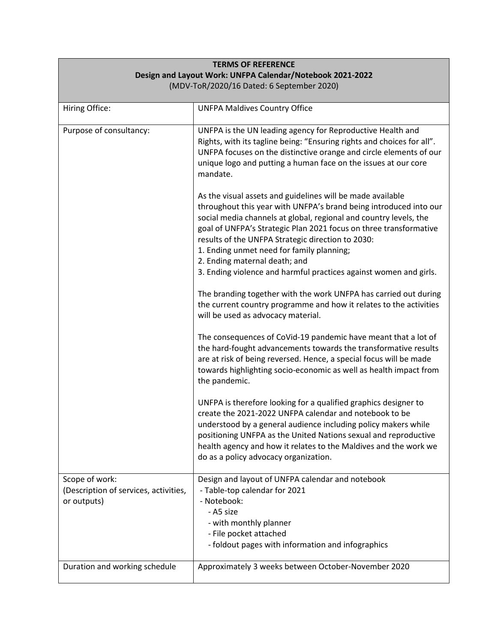| <b>TERMS OF REFERENCE</b>                                              |                                                                                                                                                                                                                                                                                                                                                                                                                                                                                   |
|------------------------------------------------------------------------|-----------------------------------------------------------------------------------------------------------------------------------------------------------------------------------------------------------------------------------------------------------------------------------------------------------------------------------------------------------------------------------------------------------------------------------------------------------------------------------|
| Design and Layout Work: UNFPA Calendar/Notebook 2021-2022              |                                                                                                                                                                                                                                                                                                                                                                                                                                                                                   |
| (MDV-ToR/2020/16 Dated: 6 September 2020)                              |                                                                                                                                                                                                                                                                                                                                                                                                                                                                                   |
| Hiring Office:                                                         | <b>UNFPA Maldives Country Office</b>                                                                                                                                                                                                                                                                                                                                                                                                                                              |
| Purpose of consultancy:                                                | UNFPA is the UN leading agency for Reproductive Health and<br>Rights, with its tagline being: "Ensuring rights and choices for all".<br>UNFPA focuses on the distinctive orange and circle elements of our<br>unique logo and putting a human face on the issues at our core<br>mandate.                                                                                                                                                                                          |
|                                                                        | As the visual assets and guidelines will be made available<br>throughout this year with UNFPA's brand being introduced into our<br>social media channels at global, regional and country levels, the<br>goal of UNFPA's Strategic Plan 2021 focus on three transformative<br>results of the UNFPA Strategic direction to 2030:<br>1. Ending unmet need for family planning;<br>2. Ending maternal death; and<br>3. Ending violence and harmful practices against women and girls. |
|                                                                        | The branding together with the work UNFPA has carried out during<br>the current country programme and how it relates to the activities<br>will be used as advocacy material.                                                                                                                                                                                                                                                                                                      |
|                                                                        | The consequences of CoVid-19 pandemic have meant that a lot of<br>the hard-fought advancements towards the transformative results<br>are at risk of being reversed. Hence, a special focus will be made<br>towards highlighting socio-economic as well as health impact from<br>the pandemic.                                                                                                                                                                                     |
|                                                                        | UNFPA is therefore looking for a qualified graphics designer to<br>create the 2021-2022 UNFPA calendar and notebook to be<br>understood by a general audience including policy makers while<br>positioning UNFPA as the United Nations sexual and reproductive<br>health agency and how it relates to the Maldives and the work we<br>do as a policy advocacy organization.                                                                                                       |
| Scope of work:<br>(Description of services, activities,<br>or outputs) | Design and layout of UNFPA calendar and notebook<br>- Table-top calendar for 2021<br>- Notebook:<br>- A5 size<br>- with monthly planner<br>- File pocket attached<br>- foldout pages with information and infographics                                                                                                                                                                                                                                                            |
| Duration and working schedule                                          | Approximately 3 weeks between October-November 2020                                                                                                                                                                                                                                                                                                                                                                                                                               |